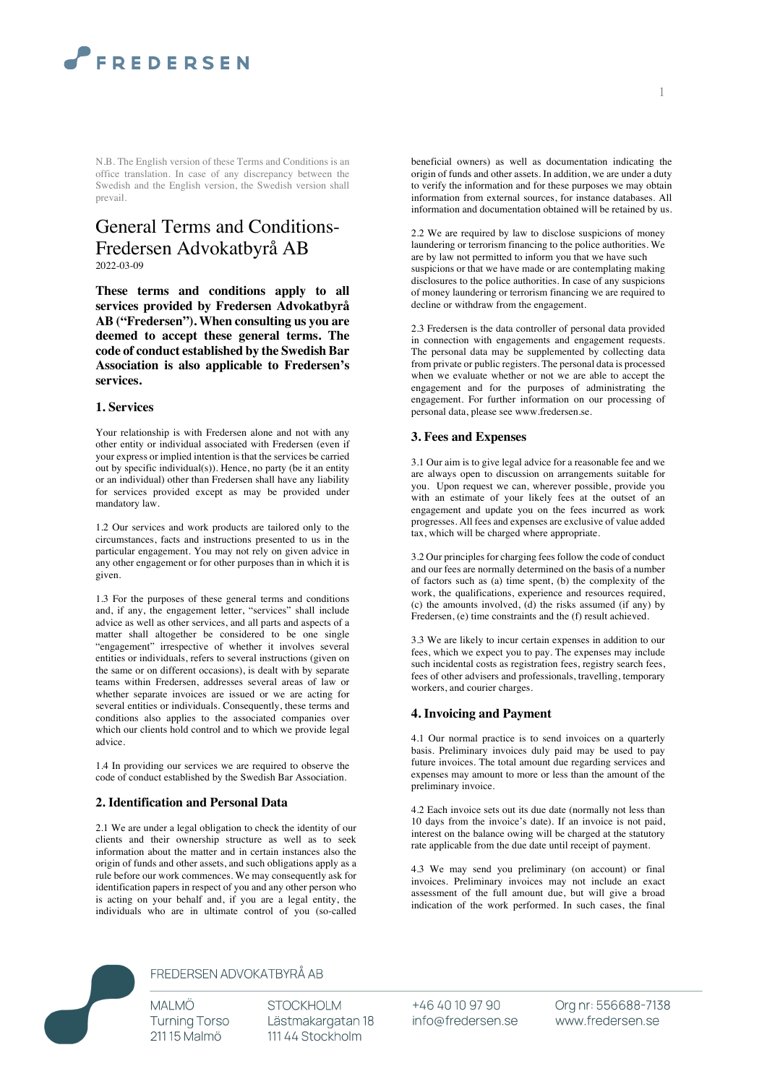

N.B. The English version of these Terms and Conditions is an office translation. In case of any discrepancy between the Swedish and the English version, the Swedish version shall prevail.

# General Terms and Conditions-Fredersen Advokatbyrå AB 2022-03-09

**These terms and conditions apply to all services provided by Fredersen Advokatbyrå AB ("Fredersen"). When consulting us you are deemed to accept these general terms. The code of conduct established by the Swedish Bar Association is also applicable to Fredersen's services.**

#### **1. Services**

Your relationship is with Fredersen alone and not with any other entity or individual associated with Fredersen (even if your express or implied intention is that the services be carried out by specific individual(s)). Hence, no party (be it an entity or an individual) other than Fredersen shall have any liability for services provided except as may be provided under mandatory law.

1.2 Our services and work products are tailored only to the circumstances, facts and instructions presented to us in the particular engagement. You may not rely on given advice in any other engagement or for other purposes than in which it is given.

1.3 For the purposes of these general terms and conditions and, if any, the engagement letter, "services" shall include advice as well as other services, and all parts and aspects of a matter shall altogether be considered to be one single "engagement" irrespective of whether it involves several entities or individuals, refers to several instructions (given on the same or on different occasions), is dealt with by separate teams within Fredersen, addresses several areas of law or whether separate invoices are issued or we are acting for several entities or individuals. Consequently, these terms and conditions also applies to the associated companies over which our clients hold control and to which we provide legal advice.

1.4 In providing our services we are required to observe the code of conduct established by the Swedish Bar Association.

#### **2. Identification and Personal Data**

2.1 We are under a legal obligation to check the identity of our clients and their ownership structure as well as to seek information about the matter and in certain instances also the origin of funds and other assets, and such obligations apply as a rule before our work commences. We may consequently ask for identification papers in respect of you and any other person who is acting on your behalf and, if you are a legal entity, the individuals who are in ultimate control of you (so-called beneficial owners) as well as documentation indicating the origin of funds and other assets. In addition, we are under a duty to verify the information and for these purposes we may obtain information from external sources, for instance databases. All information and documentation obtained will be retained by us.

2.2 We are required by law to disclose suspicions of money laundering or terrorism financing to the police authorities. We are by law not permitted to inform you that we have such suspicions or that we have made or are contemplating making disclosures to the police authorities. In case of any suspicions of money laundering or terrorism financing we are required to decline or withdraw from the engagement.

2.3 Fredersen is the data controller of personal data provided in connection with engagements and engagement requests. The personal data may be supplemented by collecting data from private or public registers. The personal data is processed when we evaluate whether or not we are able to accept the engagement and for the purposes of administrating the engagement. For further information on our processing of personal data, please see www.fredersen.se.

#### **3. Fees and Expenses**

3.1 Our aim is to give legal advice for a reasonable fee and we are always open to discussion on arrangements suitable for you. Upon request we can, wherever possible, provide you with an estimate of your likely fees at the outset of an engagement and update you on the fees incurred as work progresses. All fees and expenses are exclusive of value added tax, which will be charged where appropriate.

3.2 Our principles for charging fees follow the code of conduct and our fees are normally determined on the basis of a number of factors such as (a) time spent, (b) the complexity of the work, the qualifications, experience and resources required, (c) the amounts involved, (d) the risks assumed (if any) by Fredersen, (e) time constraints and the (f) result achieved.

3.3 We are likely to incur certain expenses in addition to our fees, which we expect you to pay. The expenses may include such incidental costs as registration fees, registry search fees, fees of other advisers and professionals, travelling, temporary workers, and courier charges.

#### **4. Invoicing and Payment**

4.1 Our normal practice is to send invoices on a quarterly basis. Preliminary invoices duly paid may be used to pay future invoices. The total amount due regarding services and expenses may amount to more or less than the amount of the preliminary invoice.

4.2 Each invoice sets out its due date (normally not less than 10 days from the invoice's date). If an invoice is not paid, interest on the balance owing will be charged at the statutory rate applicable from the due date until receipt of payment.

4.3 We may send you preliminary (on account) or final invoices. Preliminary invoices may not include an exact assessment of the full amount due, but will give a broad indication of the work performed. In such cases, the final



# FREDERSEN ADVOKATBYRÅ AB

**MALMÖ Turning Torso** 21115 Malmö

**STOCKHOLM** Lästmakargatan 18 111 44 Stockholm

+46 40 10 97 90 info@fredersen.se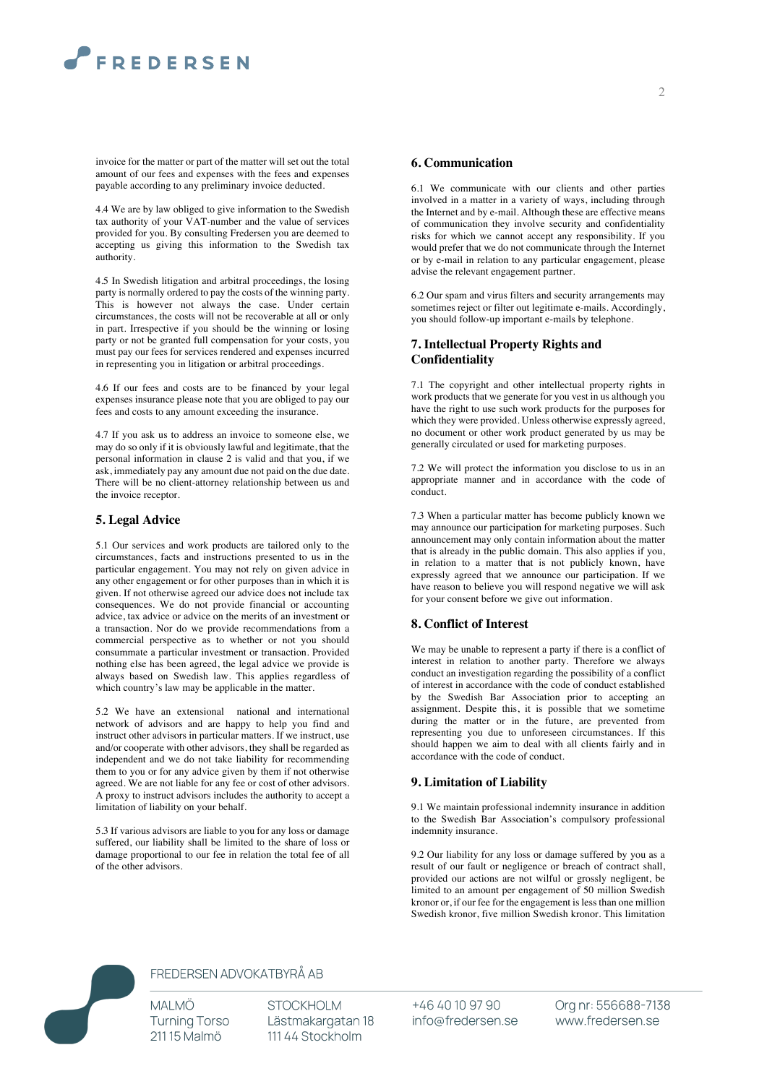# **FREDERSEN**

invoice for the matter or part of the matter will set out the total amount of our fees and expenses with the fees and expenses payable according to any preliminary invoice deducted.

4.4 We are by law obliged to give information to the Swedish tax authority of your VAT-number and the value of services provided for you. By consulting Fredersen you are deemed to accepting us giving this information to the Swedish tax authority.

4.5 In Swedish litigation and arbitral proceedings, the losing party is normally ordered to pay the costs of the winning party. This is however not always the case. Under certain circumstances, the costs will not be recoverable at all or only in part. Irrespective if you should be the winning or losing party or not be granted full compensation for your costs, you must pay our fees for services rendered and expenses incurred in representing you in litigation or arbitral proceedings.

4.6 If our fees and costs are to be financed by your legal expenses insurance please note that you are obliged to pay our fees and costs to any amount exceeding the insurance.

4.7 If you ask us to address an invoice to someone else, we may do so only if it is obviously lawful and legitimate, that the personal information in clause 2 is valid and that you, if we ask, immediately pay any amount due not paid on the due date. There will be no client-attorney relationship between us and the invoice receptor.

#### **5. Legal Advice**

5.1 Our services and work products are tailored only to the circumstances, facts and instructions presented to us in the particular engagement. You may not rely on given advice in any other engagement or for other purposes than in which it is given. If not otherwise agreed our advice does not include tax consequences. We do not provide financial or accounting advice, tax advice or advice on the merits of an investment or a transaction. Nor do we provide recommendations from a commercial perspective as to whether or not you should consummate a particular investment or transaction. Provided nothing else has been agreed, the legal advice we provide is always based on Swedish law. This applies regardless of which country's law may be applicable in the matter.

5.2 We have an extensional national and international network of advisors and are happy to help you find and instruct other advisors in particular matters. If we instruct, use and/or cooperate with other advisors, they shall be regarded as independent and we do not take liability for recommending them to you or for any advice given by them if not otherwise agreed. We are not liable for any fee or cost of other advisors. A proxy to instruct advisors includes the authority to accept a limitation of liability on your behalf.

5.3 If various advisors are liable to you for any loss or damage suffered, our liability shall be limited to the share of loss or damage proportional to our fee in relation the total fee of all of the other advisors.

#### **6. Communication**

6.1 We communicate with our clients and other parties involved in a matter in a variety of ways, including through the Internet and by e-mail. Although these are effective means of communication they involve security and confidentiality risks for which we cannot accept any responsibility. If you would prefer that we do not communicate through the Internet or by e-mail in relation to any particular engagement, please advise the relevant engagement partner.

6.2 Our spam and virus filters and security arrangements may sometimes reject or filter out legitimate e-mails. Accordingly, you should follow-up important e-mails by telephone.

#### **7. Intellectual Property Rights and Confidentiality**

7.1 The copyright and other intellectual property rights in work products that we generate for you vest in us although you have the right to use such work products for the purposes for which they were provided. Unless otherwise expressly agreed, no document or other work product generated by us may be generally circulated or used for marketing purposes.

7.2 We will protect the information you disclose to us in an appropriate manner and in accordance with the code of conduct.

7.3 When a particular matter has become publicly known we may announce our participation for marketing purposes. Such announcement may only contain information about the matter that is already in the public domain. This also applies if you, in relation to a matter that is not publicly known, have expressly agreed that we announce our participation. If we have reason to believe you will respond negative we will ask for your consent before we give out information.

#### **8. Conflict of Interest**

We may be unable to represent a party if there is a conflict of interest in relation to another party. Therefore we always conduct an investigation regarding the possibility of a conflict of interest in accordance with the code of conduct established by the Swedish Bar Association prior to accepting an assignment. Despite this, it is possible that we sometime during the matter or in the future, are prevented from representing you due to unforeseen circumstances. If this should happen we aim to deal with all clients fairly and in accordance with the code of conduct.

#### **9. Limitation of Liability**

9.1 We maintain professional indemnity insurance in addition to the Swedish Bar Association's compulsory professional indemnity insurance.

9.2 Our liability for any loss or damage suffered by you as a result of our fault or negligence or breach of contract shall, provided our actions are not wilful or grossly negligent, be limited to an amount per engagement of 50 million Swedish kronor or, if our fee for the engagement is less than one million Swedish kronor, five million Swedish kronor. This limitation



### FREDERSEN ADVOKATBYRÅ AB

**MALMÖ Turning Torso** 21115 Malmö

**STOCKHOLM** Lästmakargatan 18 111 44 Stockholm

+46 40 10 97 90 info@fredersen.se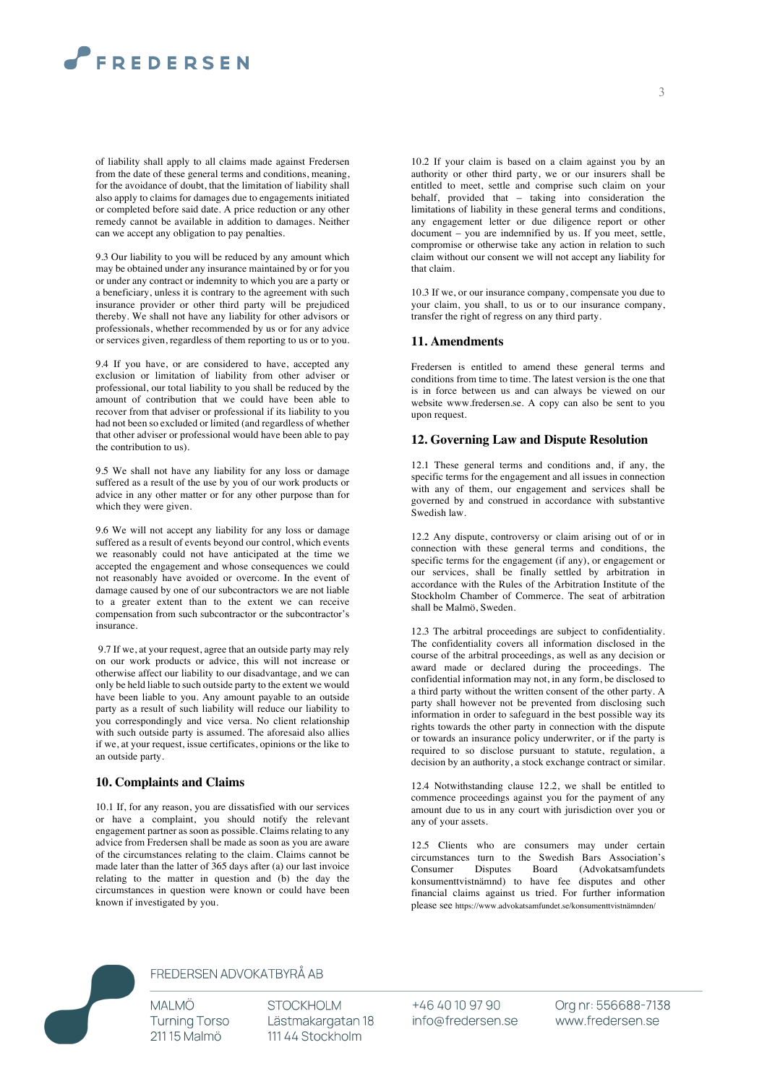# **FREDERSEN**

of liability shall apply to all claims made against Fredersen from the date of these general terms and conditions, meaning, for the avoidance of doubt, that the limitation of liability shall also apply to claims for damages due to engagements initiated or completed before said date. A price reduction or any other remedy cannot be available in addition to damages. Neither can we accept any obligation to pay penalties.

9.3 Our liability to you will be reduced by any amount which may be obtained under any insurance maintained by or for you or under any contract or indemnity to which you are a party or a beneficiary, unless it is contrary to the agreement with such insurance provider or other third party will be prejudiced thereby. We shall not have any liability for other advisors or professionals, whether recommended by us or for any advice or services given, regardless of them reporting to us or to you.

9.4 If you have, or are considered to have, accepted any exclusion or limitation of liability from other adviser or professional, our total liability to you shall be reduced by the amount of contribution that we could have been able to recover from that adviser or professional if its liability to you had not been so excluded or limited (and regardless of whether that other adviser or professional would have been able to pay the contribution to us).

9.5 We shall not have any liability for any loss or damage suffered as a result of the use by you of our work products or advice in any other matter or for any other purpose than for which they were given.

9.6 We will not accept any liability for any loss or damage suffered as a result of events beyond our control, which events we reasonably could not have anticipated at the time we accepted the engagement and whose consequences we could not reasonably have avoided or overcome. In the event of damage caused by one of our subcontractors we are not liable to a greater extent than to the extent we can receive compensation from such subcontractor or the subcontractor's insurance.

9.7 If we, at your request, agree that an outside party may rely on our work products or advice, this will not increase or otherwise affect our liability to our disadvantage, and we can only be held liable to such outside party to the extent we would have been liable to you. Any amount payable to an outside party as a result of such liability will reduce our liability to you correspondingly and vice versa. No client relationship with such outside party is assumed. The aforesaid also allies if we, at your request, issue certificates, opinions or the like to an outside party.

#### **10. Complaints and Claims**

10.1 If, for any reason, you are dissatisfied with our services or have a complaint, you should notify the relevant engagement partner as soon as possible. Claims relating to any advice from Fredersen shall be made as soon as you are aware of the circumstances relating to the claim. Claims cannot be made later than the latter of 365 days after (a) our last invoice relating to the matter in question and (b) the day the circumstances in question were known or could have been known if investigated by you.

10.2 If your claim is based on a claim against you by an authority or other third party, we or our insurers shall be entitled to meet, settle and comprise such claim on your behalf, provided that – taking into consideration the limitations of liability in these general terms and conditions, any engagement letter or due diligence report or other document – you are indemnified by us. If you meet, settle, compromise or otherwise take any action in relation to such claim without our consent we will not accept any liability for that claim.

10.3 If we, or our insurance company, compensate you due to your claim, you shall, to us or to our insurance company, transfer the right of regress on any third party.

#### **11. Amendments**

Fredersen is entitled to amend these general terms and conditions from time to time. The latest version is the one that is in force between us and can always be viewed on our website www.fredersen.se. A copy can also be sent to you upon request.

#### **12. Governing Law and Dispute Resolution**

12.1 These general terms and conditions and, if any, the specific terms for the engagement and all issues in connection with any of them, our engagement and services shall be governed by and construed in accordance with substantive Swedish law.

12.2 Any dispute, controversy or claim arising out of or in connection with these general terms and conditions, the specific terms for the engagement (if any), or engagement or our services, shall be finally settled by arbitration in accordance with the Rules of the Arbitration Institute of the Stockholm Chamber of Commerce. The seat of arbitration shall be Malmö, Sweden.

12.3 The arbitral proceedings are subject to confidentiality. The confidentiality covers all information disclosed in the course of the arbitral proceedings, as well as any decision or award made or declared during the proceedings. The confidential information may not, in any form, be disclosed to a third party without the written consent of the other party. A party shall however not be prevented from disclosing such information in order to safeguard in the best possible way its rights towards the other party in connection with the dispute or towards an insurance policy underwriter, or if the party is required to so disclose pursuant to statute, regulation, a decision by an authority, a stock exchange contract or similar.

12.4 Notwithstanding clause 12.2, we shall be entitled to commence proceedings against you for the payment of any amount due to us in any court with jurisdiction over you or any of your assets.

12.5 Clients who are consumers may under certain circumstances turn to the Swedish Bars Association's Consumer Disputes Board (Advokatsamfundets konsumenttvistnämnd) to have fee disputes and other financial claims against us tried. For further information please see https://www.advokatsamfundet.se/konsumenttvistnämnden/



# FREDERSEN ADVOKATBYRÅ AB

**MALMÖ Turning Torso** 21115 Malmö

**STOCKHOLM** Lästmakargatan 18 111 44 Stockholm

+46 40 10 97 90 info@fredersen.se